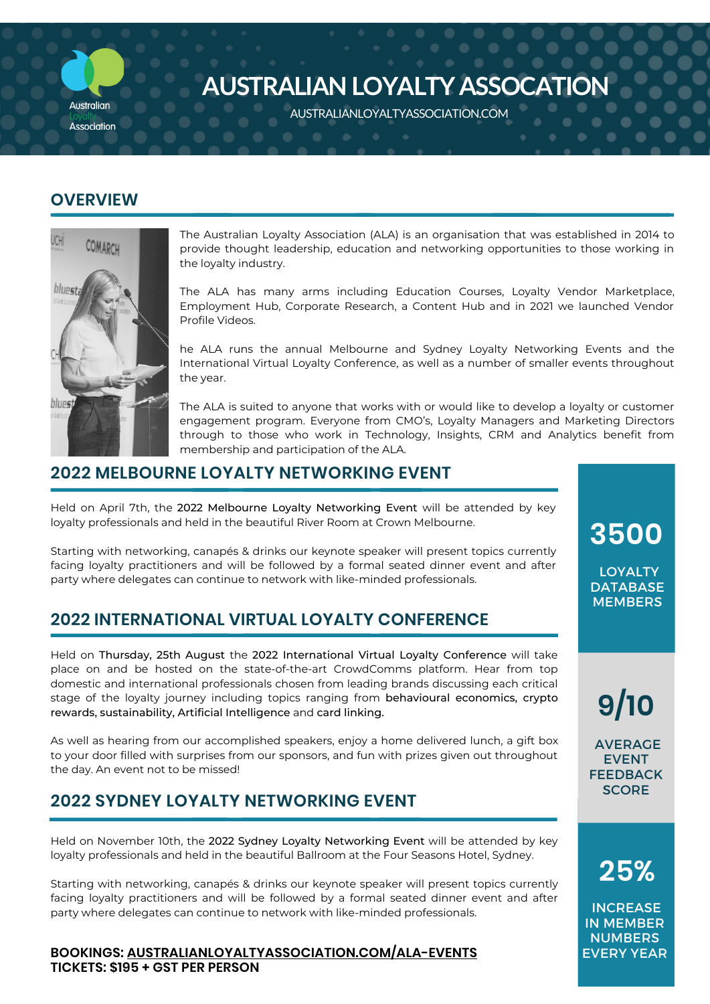

# **AUSTRALIAN LOYALTY ASSOCATION**

AUSTRALIANLOYALTYASSOCIATION.COM AUSTRALIANLOYALTYASSOCIATION.COM

### **OVERVIEW**



The Australian Loyalty Association (ALA) is an organisation that was established in 2014 to provide thought leadership, education and networking opportunities to those working in the loyalty industry.

The ALA has many arms including Education Courses, Loyalty Vendor Marketplace, Employment Hub, Corporate Research, a Content Hub and in 2021 we launched Vendor Profile Videos.

he ALA runs the annual Melbourne and Sydney Loyalty Networking Events and the International Virtual Loyalty Conference, as well as a number of smaller events throughout the year.

The ALA is suited to anyone that works with or would like to develop a loyalty or customer engagement program. Everyone from CMO's, Loyalty Managers and Marketing Directors through to those who work in Technology, Insights, CRM and Analytics benefit from membership and participation of the ALA.

### **2022 MELBOURNE LOYALTY NETWORKING EVENT**

Held on April 7th, the 2022 Melbourne Loyalty Networking Event will be attended by key loyalty professionals and held in the beautiful River Room at Crown Melbourne.

Starting with networking, canapés & drinks our keynote speaker will present topics currently facing loyalty practitioners and will be followed by a formal seated dinner event and after party where delegates can continue to network with like-minded professionals.

## **2022 INTERNATIONAL VIRTUAL LOYALTY CONFERENCE**

Held on Thursday, 25th August the 2022 International Virtual Loyalty Conference will take place on and be hosted on the state-of-the-art CrowdComms platform. Hear from top domestic and international professionals chosen from leading brands discussing each critical stage of the loyalty journey including topics ranging from behavioural economics, crypto rewards, sustainability, Artificial Intelligence and card linking.

As well as hearing from our accomplished speakers, enjoy a home delivered lunch, a gift box to your door filled with surprises from our sponsors, and fun with prizes given out throughout the day. An event not to be missed!

# **2022 SYDNEY LOYALTY NETWORKING EVENT**

Held on November 10th, the 2022 Sydney Loyalty Networking Event will be attended by key loyalty professionals and held in the beautiful Ballroom at the Four Seasons Hotel, Sydney.

Starting with networking, canapés & drinks our keynote speaker will present topics currently facing loyalty practitioners and will be followed by a formal seated dinner event and after party where delegates can continue to network with like-minded professionals.

### **BOOKINGS: [AUSTRALIANLOYALTYASSOCIATION.COM/ALA-EVENTS](http://australianloyaltyassociation.com/ala-events) TICKETS: \$195 + GST PER PERSON**

**3500**

LOYALTY **DATABASE MEMBERS** 

**9/10**

AVERAGE EVENT FEEDBACK **SCORE** 

**25%**

**INCREASE** IN MEMBER **NUMBERS** EVERY YEAR